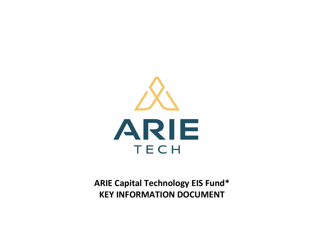

**ARIE Capital Technology EIS Fund\* KEY INFORMATION DOCUMENT**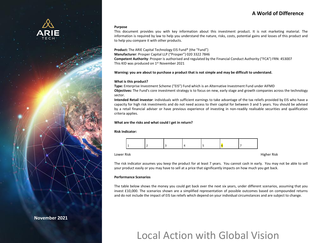## **A World of Difference**

#### **Purpose**

This document provides you with key information about this investment product. It is not marketing material. The information is required by law to help you understand the nature, risks, costs, potential gains and losses of this product and to help you compare it with other products.

**Product:** The ARIE Capital Technology EIS Fund\* (the "Fund")

**Manufacturer**: Prosper Capital LLP ("Prosper") 020 3322 7846 **Competent Authority**: Prosper is authorised and regulated by the Financial Conduct Authority ("FCA") FRN: 453007 This KID was produced on 1<sup>st</sup> November 2021

Warning: you are about to purchase a product that is not simple and may be difficult to understand.

#### **What is this product?**

**Type:** Enterprise Investment Scheme ("EIS") Fund which is an Alternative Investment Fund under AIFMD

**Objectives:** The Fund's core investment strategy is to focus on new, early stage and growth companies across the technology sector.

**Intended Retail Investor**: individuals with sufficient earnings to take advantage of the tax reliefs provided by EIS who have a capacity for high risk investments and do not need access to their capital for between 3 and 5 years. You should be advised by a retail financial adviser or have previous experience of investing in non-readily realisable securities and qualification criteria applies.

#### **What are the risks and what could I get in return?**

#### **Risk Indicator:**



Lower Risk Higher Risk

The risk indicator assumes you keep the product for at least 7 years. You cannot cash in early. You may not be able to sell your product easily or you may have to sell at a price that significantly impacts on how much you get back.

#### **Performance Scenarios**

The table below shows the money you could get back over the next six years, under different scenarios, assuming that you invest £10,000. The scenarios shown are a simplified representation of possible outcomes based on compounded returns and do not include the impact of EIS tax reliefs which depend on your individual circumstances and are subject to change.

# Local Action with Global Vision

**November 2021**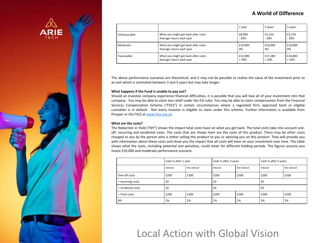## **A World of Difference**



The above performance scenarios are theoretical, and it may not be possible to realise the value of the investment prior to an exit which is estimated between 3 and 5 years but may take longer.

#### **What happens if the Fund is unable to pay out?**

Should an investee company experience financial difficulties, it is possible that you will lose all of your investment into that company. You may be able to claim loss relief under the EIS rules. You may be able to claim compensation from the Financial Services Compensation Scheme ("FSCS") in certain circumstances where a regulated firm, approved bank or eligible custodian is in default. Not every investor is eligible to claim under this scheme. Further information is available from Prosper or the FSCS at [www.fscs.org.uk](http://www.fscs.org.uk/)

#### **What are the costs?**

The Reduction in Yield ("RIY") shows the impact total costs have on what you get back. The total costs take into account oneoff, recurring and incidental costs. The costs that are shown here are the costs of this product. There may be other costs charged to you by the person who is either selling this product to you or advising you on this product. They will provide you with information about these costs and show you the impact that all costs will have on your investment over time. The table shows what the costs, including potential exit penalties, could mean for different holding periods. The figures assume you invest £10,000 and moderate performance scenario.

|                    | Cash in after 1 year |             | Cash in after 3 years |             | Cash in after 5 years |             |
|--------------------|----------------------|-------------|-----------------------|-------------|-----------------------|-------------|
|                    | Advised              | Not advised | Advised               | Not advised | Advised               | Not advised |
| One-off costs      | £200                 | £200        | £200                  | £200        | £200                  | £200        |
| + recurring costs  | £0                   |             | £0                    |             | £0                    |             |
| + incidental costs | £0                   |             | £0                    |             | £0                    |             |
| = Total costs      | £200                 | £200        | £200                  | £200        | £200                  | £200        |
| <b>RIY</b>         | 2%                   | 2%          | 2%                    | 2%          | 2%                    | 2%          |

## Local Action with Global Vision